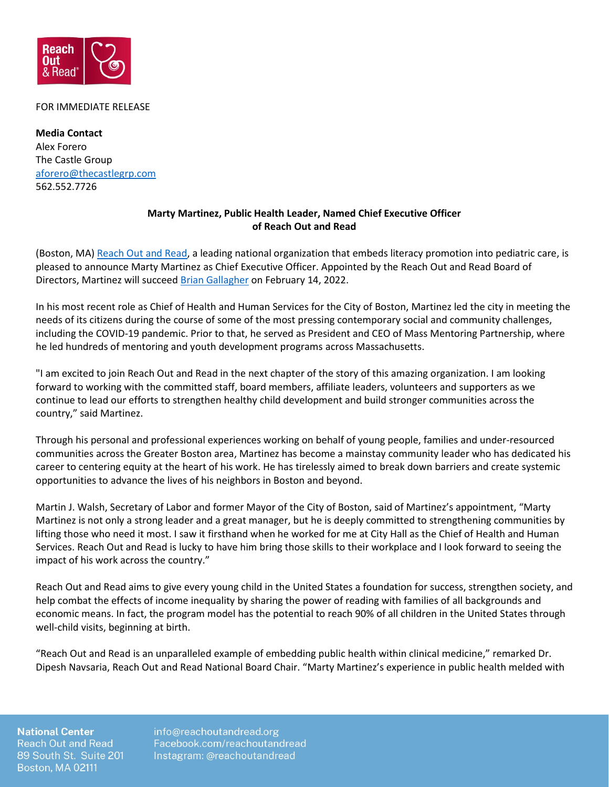

## FOR IMMEDIATE RELEASE

**Media Contact** Alex Forero The Castle Group [aforero@thecastlegrp.com](mailto:aforero@thecastlegrp.com) 562.552.7726

## **Marty Martinez, Public Health Leader, Named Chief Executive Officer of Reach Out and Read**

(Boston, MA[\) Reach Out and Read,](https://reachoutandread.org/) a leading national organization that embeds literacy promotion into pediatric care, is pleased to announce Marty Martinez as Chief Executive Officer. Appointed by the Reach Out and Read Board of Directors, Martinez will succee[d Brian Gallagher](https://reachoutandread.org/2021/07/07/brian-gallagher-ceo-of-reach-out-and-read-announces-departure/) on February 14, 2022.

In his most recent role as Chief of Health and Human Services for the City of Boston, Martinez led the city in meeting the needs of its citizens during the course of some of the most pressing contemporary social and community challenges, including the COVID-19 pandemic. Prior to that, he served as President and CEO of Mass Mentoring Partnership, where he led hundreds of mentoring and youth development programs across Massachusetts.

"I am excited to join Reach Out and Read in the next chapter of the story of this amazing organization. I am looking forward to working with the committed staff, board members, affiliate leaders, volunteers and supporters as we continue to lead our efforts to strengthen healthy child development and build stronger communities across the country," said Martinez.

Through his personal and professional experiences working on behalf of young people, families and under-resourced communities across the Greater Boston area, Martinez has become a mainstay community leader who has dedicated his career to centering equity at the heart of his work. He has tirelessly aimed to break down barriers and create systemic opportunities to advance the lives of his neighbors in Boston and beyond.

Martin J. Walsh, Secretary of Labor and former Mayor of the City of Boston, said of Martinez's appointment, "Marty Martinez is not only a strong leader and a great manager, but he is deeply committed to strengthening communities by lifting those who need it most. I saw it firsthand when he worked for me at City Hall as the Chief of Health and Human Services. Reach Out and Read is lucky to have him bring those skills to their workplace and I look forward to seeing the impact of his work across the country."

Reach Out and Read aims to give every young child in the United States a foundation for success, strengthen society, and help combat the effects of income inequality by sharing the power of reading with families of all backgrounds and economic means. In fact, the program model has the potential to reach 90% of all children in the United States through well-child visits, beginning at birth.

"Reach Out and Read is an unparalleled example of embedding public health within clinical medicine," remarked Dr. Dipesh Navsaria, Reach Out and Read National Board Chair. "Marty Martinez's experience in public health melded with

**National Center Reach Out and Read** 89 South St. Suite 201 **Boston, MA 02111** 

info@reachoutandread.org Facebook.com/reachoutandread Instagram: @reachoutandread